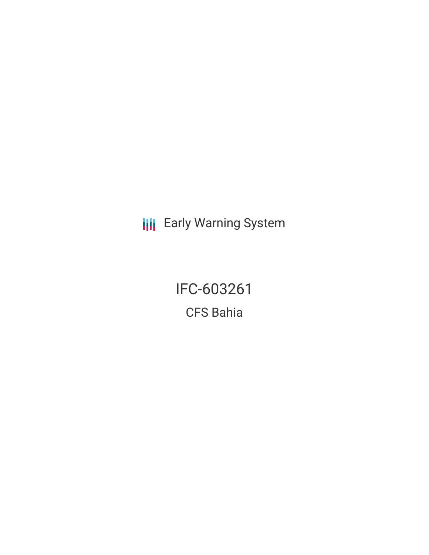**III** Early Warning System

IFC-603261 CFS Bahia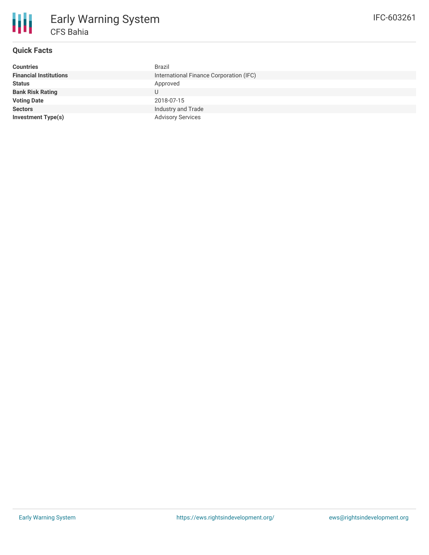

# **Quick Facts**

| <b>Countries</b>              | Brazil                                  |
|-------------------------------|-----------------------------------------|
| <b>Financial Institutions</b> | International Finance Corporation (IFC) |
| <b>Status</b>                 | Approved                                |
| <b>Bank Risk Rating</b>       | U                                       |
| <b>Voting Date</b>            | 2018-07-15                              |
| <b>Sectors</b>                | Industry and Trade                      |
| <b>Investment Type(s)</b>     | <b>Advisory Services</b>                |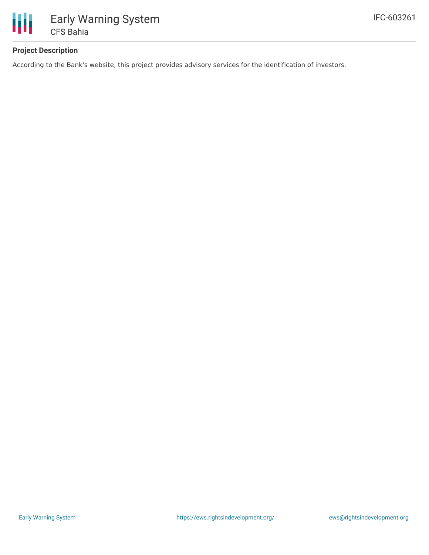

### **Project Description**

According to the Bank's website, this project provides advisory services for the identification of investors.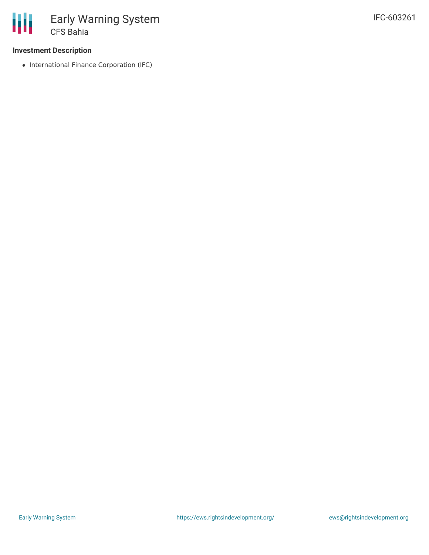#### **Investment Description**

• International Finance Corporation (IFC)